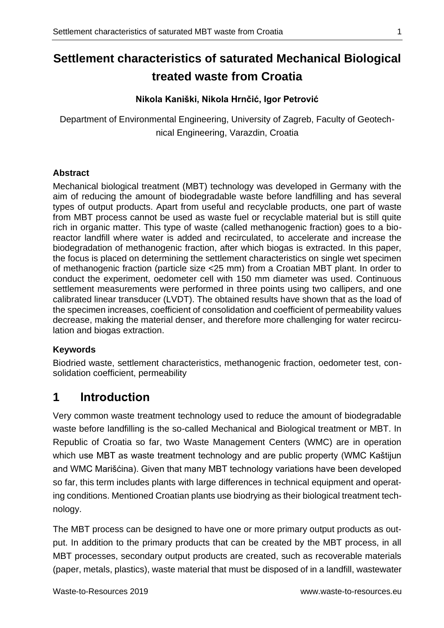# **Settlement characteristics of saturated Mechanical Biological treated waste from Croatia**

### **Nikola Kaniški, Nikola Hrnčić, Igor Petrović**

Department of Environmental Engineering, University of Zagreb, Faculty of Geotechnical Engineering, Varazdin, Croatia

#### **Abstract**

Mechanical biological treatment (MBT) technology was developed in Germany with the aim of reducing the amount of biodegradable waste before landfilling and has several types of output products. Apart from useful and recyclable products, one part of waste from MBT process cannot be used as waste fuel or recyclable material but is still quite rich in organic matter. This type of waste (called methanogenic fraction) goes to a bioreactor landfill where water is added and recirculated, to accelerate and increase the biodegradation of methanogenic fraction, after which biogas is extracted. In this paper, the focus is placed on determining the settlement characteristics on single wet specimen of methanogenic fraction (particle size <25 mm) from a Croatian MBT plant. In order to conduct the experiment, oedometer cell with 150 mm diameter was used. Continuous settlement measurements were performed in three points using two callipers, and one calibrated linear transducer (LVDT). The obtained results have shown that as the load of the specimen increases, coefficient of consolidation and coefficient of permeability values decrease, making the material denser, and therefore more challenging for water recirculation and biogas extraction.

### **Keywords**

Biodried waste, settlement characteristics, methanogenic fraction, oedometer test, consolidation coefficient, permeability

## **1 Introduction**

Very common waste treatment technology used to reduce the amount of biodegradable waste before landfilling is the so-called Mechanical and Biological treatment or MBT. In Republic of Croatia so far, two Waste Management Centers (WMC) are in operation which use MBT as waste treatment technology and are public property (WMC Kaštijun and WMC Marišćina). Given that many MBT technology variations have been developed so far, this term includes plants with large differences in technical equipment and operating conditions. Mentioned Croatian plants use biodrying as their biological treatment technology.

The MBT process can be designed to have one or more primary output products as output. In addition to the primary products that can be created by the MBT process, in all MBT processes, secondary output products are created, such as recoverable materials (paper, metals, plastics), waste material that must be disposed of in a landfill, wastewater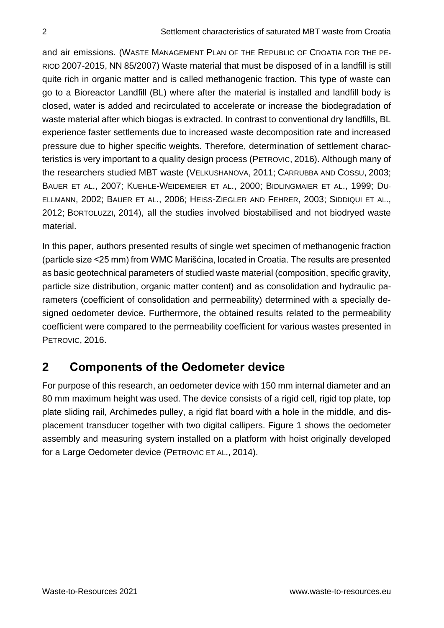and air emissions. (WASTE MANAGEMENT PLAN OF THE REPUBLIC OF CROATIA FOR THE PE-RIOD 2007-2015, NN 85/2007) Waste material that must be disposed of in a landfill is still quite rich in organic matter and is called methanogenic fraction. This type of waste can go to a Bioreactor Landfill (BL) where after the material is installed and landfill body is closed, water is added and recirculated to accelerate or increase the biodegradation of waste material after which biogas is extracted. In contrast to conventional dry landfills, BL experience faster settlements due to increased waste decomposition rate and increased pressure due to higher specific weights. Therefore, determination of settlement characteristics is very important to a quality design process (PETROVIC, 2016). Although many of the researchers studied MBT waste (VELKUSHANOVA, 2011; CARRUBBA AND COSSU, 2003; BAUER ET AL., 2007; KUEHLE-WEIDEMEIER ET AL., 2000; BIDLINGMAIER ET AL., 1999; DU-ELLMANN, 2002; BAUER ET AL., 2006; HEISS-ZIEGLER AND FEHRER, 2003; SIDDIQUI ET AL., 2012; BORTOLUZZI, 2014), all the studies involved biostabilised and not biodryed waste material.

In this paper, authors presented results of single wet specimen of methanogenic fraction (particle size <25 mm) from WMC Marišćina, located in Croatia. The results are presented as basic geotechnical parameters of studied waste material (composition, specific gravity, particle size distribution, organic matter content) and as consolidation and hydraulic parameters (coefficient of consolidation and permeability) determined with a specially designed oedometer device. Furthermore, the obtained results related to the permeability coefficient were compared to the permeability coefficient for various wastes presented in PETROVIC, 2016.

# **2 Components of the Oedometer device**

For purpose of this research, an oedometer device with 150 mm internal diameter and an 80 mm maximum height was used. The device consists of a rigid cell, rigid top plate, top plate sliding rail, Archimedes pulley, a rigid flat board with a hole in the middle, and displacement transducer together with two digital callipers. Figure 1 shows the oedometer assembly and measuring system installed on a platform with hoist originally developed for a Large Oedometer device (PETROVIC ET AL., 2014).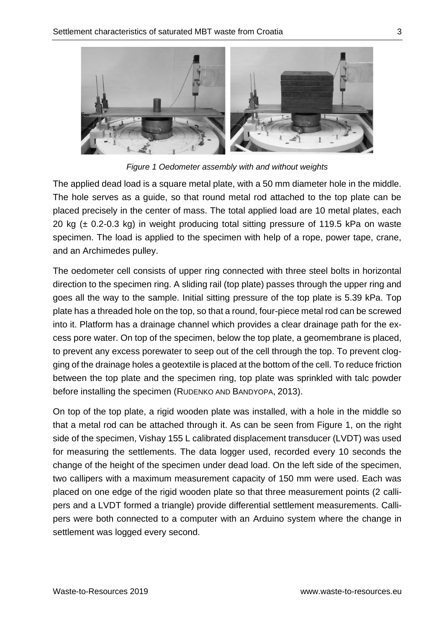

*Figure 1 Oedometer assembly with and without weights*

The applied dead load is a square metal plate, with a 50 mm diameter hole in the middle. The hole serves as a guide, so that round metal rod attached to the top plate can be placed precisely in the center of mass. The total applied load are 10 metal plates, each 20 kg  $(\pm 0.2{\text -}0.3 \text{ kg})$  in weight producing total sitting pressure of 119.5 kPa on waste specimen. The load is applied to the specimen with help of a rope, power tape, crane, and an Archimedes pulley.

The oedometer cell consists of upper ring connected with three steel bolts in horizontal direction to the specimen ring. A sliding rail (top plate) passes through the upper ring and goes all the way to the sample. Initial sitting pressure of the top plate is 5.39 kPa. Top plate has a threaded hole on the top, so that a round, four-piece metal rod can be screwed into it. Platform has a drainage channel which provides a clear drainage path for the excess pore water. On top of the specimen, below the top plate, a geomembrane is placed, to prevent any excess porewater to seep out of the cell through the top. To prevent clogging of the drainage holes a geotextile is placed at the bottom of the cell. To reduce friction between the top plate and the specimen ring, top plate was sprinkled with talc powder before installing the specimen (RUDENKO AND BANDYOPA, 2013).

On top of the top plate, a rigid wooden plate was installed, with a hole in the middle so that a metal rod can be attached through it. As can be seen from Figure 1, on the right side of the specimen, Vishay 155 L calibrated displacement transducer (LVDT) was used for measuring the settlements. The data logger used, recorded every 10 seconds the change of the height of the specimen under dead load. On the left side of the specimen, two callipers with a maximum measurement capacity of 150 mm were used. Each was placed on one edge of the rigid wooden plate so that three measurement points (2 callipers and a LVDT formed a triangle) provide differential settlement measurements. Callipers were both connected to a computer with an Arduino system where the change in settlement was logged every second.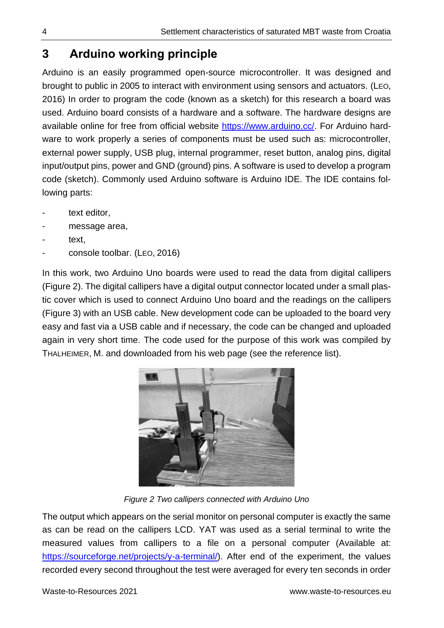# **3 Arduino working principle**

Arduino is an easily programmed open-source microcontroller. It was designed and brought to public in 2005 to interact with environment using sensors and actuators. (LEO, 2016) In order to program the code (known as a sketch) for this research a board was used. Arduino board consists of a hardware and a software. The hardware designs are available online for free from official website [https://www.arduino.cc/.](https://www.arduino.cc/) For Arduino hardware to work properly a series of components must be used such as: microcontroller, external power supply, USB plug, internal programmer, reset button, analog pins, digital input/output pins, power and GND (ground) pins. A software is used to develop a program code (sketch). Commonly used Arduino software is Arduino IDE. The IDE contains following parts:

- text editor,
- message area,
- text,
- console toolbar. (LEO, 2016)

In this work, two Arduino Uno boards were used to read the data from digital callipers (Figure 2). The digital callipers have a digital output connector located under a small plastic cover which is used to connect Arduino Uno board and the readings on the callipers (Figure 3) with an USB cable. New development code can be uploaded to the board very easy and fast via a USB cable and if necessary, the code can be changed and uploaded again in very short time. The code used for the purpose of this work was compiled by THALHEIMER, M. and downloaded from his web page (see the reference list).



*Figure 2 Two callipers connected with Arduino Uno* 

The output which appears on the serial monitor on personal computer is exactly the same as can be read on the callipers LCD. YAT was used as a serial terminal to write the measured values from callipers to a file on a personal computer (Available at: [https://sourceforge.net/projects/y-a-terminal/\)](https://sourceforge.net/projects/y-a-terminal/). After end of the experiment, the values recorded every second throughout the test were averaged for every ten seconds in order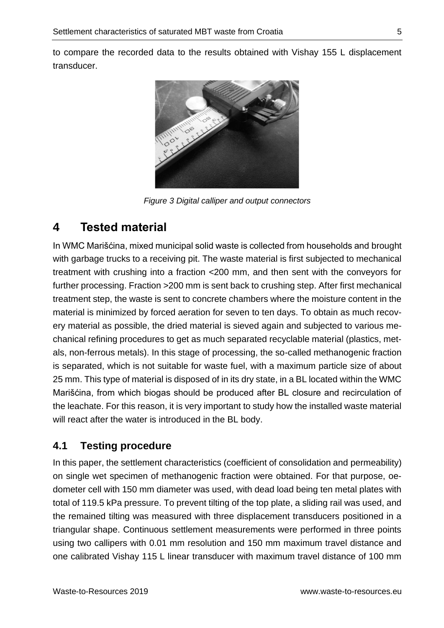to compare the recorded data to the results obtained with Vishay 155 L displacement transducer.



*Figure 3 Digital calliper and output connectors*

## **4 Tested material**

In WMC Marišćina, mixed municipal solid waste is collected from households and brought with garbage trucks to a receiving pit. The waste material is first subjected to mechanical treatment with crushing into a fraction <200 mm, and then sent with the conveyors for further processing. Fraction >200 mm is sent back to crushing step. After first mechanical treatment step, the waste is sent to concrete chambers where the moisture content in the material is minimized by forced aeration for seven to ten days. To obtain as much recovery material as possible, the dried material is sieved again and subjected to various mechanical refining procedures to get as much separated recyclable material (plastics, metals, non-ferrous metals). In this stage of processing, the so-called methanogenic fraction is separated, which is not suitable for waste fuel, with a maximum particle size of about 25 mm. This type of material is disposed of in its dry state, in a BL located within the WMC Marišćina, from which biogas should be produced after BL closure and recirculation of the leachate. For this reason, it is very important to study how the installed waste material will react after the water is introduced in the BL body.

## **4.1 Testing procedure**

In this paper, the settlement characteristics (coefficient of consolidation and permeability) on single wet specimen of methanogenic fraction were obtained. For that purpose, oedometer cell with 150 mm diameter was used, with dead load being ten metal plates with total of 119.5 kPa pressure. To prevent tilting of the top plate, a sliding rail was used, and the remained tilting was measured with three displacement transducers positioned in a triangular shape. Continuous settlement measurements were performed in three points using two callipers with 0.01 mm resolution and 150 mm maximum travel distance and one calibrated Vishay 115 L linear transducer with maximum travel distance of 100 mm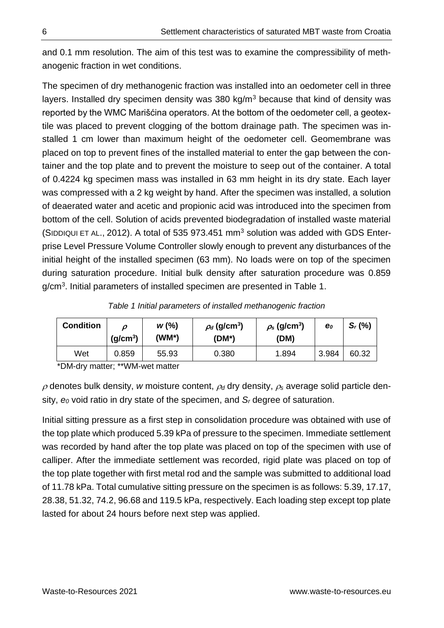and 0.1 mm resolution. The aim of this test was to examine the compressibility of methanogenic fraction in wet conditions.

The specimen of dry methanogenic fraction was installed into an oedometer cell in three layers. Installed dry specimen density was 380 kg/ $m<sup>3</sup>$  because that kind of density was reported by the WMC Marišćina operators. At the bottom of the oedometer cell, a geotextile was placed to prevent clogging of the bottom drainage path. The specimen was installed 1 cm lower than maximum height of the oedometer cell. Geomembrane was placed on top to prevent fines of the installed material to enter the gap between the container and the top plate and to prevent the moisture to seep out of the container. A total of 0.4224 kg specimen mass was installed in 63 mm height in its dry state. Each layer was compressed with a 2 kg weight by hand. After the specimen was installed, a solution of deaerated water and acetic and propionic acid was introduced into the specimen from bottom of the cell. Solution of acids prevented biodegradation of installed waste material (SIDDIQUI ET AL., 2012). A total of 535 973.451 mm<sup>3</sup> solution was added with GDS Enterprise Level Pressure Volume Controller slowly enough to prevent any disturbances of the initial height of the installed specimen (63 mm). No loads were on top of the specimen during saturation procedure. Initial bulk density after saturation procedure was 0.859 g/cm<sup>3</sup>. Initial parameters of installed specimen are presented in Table 1.

| <b>Condition</b> | Ω<br>(g/cm <sup>3</sup> ) | W(%)<br>(WM*) | $\rho_d$ (g/cm <sup>3</sup> )<br>$(DM^*)$ | $\rho_{\rm s}$ (g/cm <sup>3</sup> )<br>(DM) | $\mathbf{e}_o$ | $S_r$ (%) |
|------------------|---------------------------|---------------|-------------------------------------------|---------------------------------------------|----------------|-----------|
| Wet              | 0.859                     | 55.93         | 0.380                                     | 1.894                                       | 3.984          | 60.32     |

*Table 1 Initial parameters of installed methanogenic fraction*

\*DM-dry matter; \*\*WM-wet matter

 $\rho$  denotes bulk density, *w* moisture content,  $\rho_d$  dry density,  $\rho_s$  average solid particle density, *e<sup>0</sup>* void ratio in dry state of the specimen, and *S<sup>r</sup>* degree of saturation.

Initial sitting pressure as a first step in consolidation procedure was obtained with use of the top plate which produced 5.39 kPa of pressure to the specimen. Immediate settlement was recorded by hand after the top plate was placed on top of the specimen with use of calliper. After the immediate settlement was recorded, rigid plate was placed on top of the top plate together with first metal rod and the sample was submitted to additional load of 11.78 kPa. Total cumulative sitting pressure on the specimen is as follows: 5.39, 17.17, 28.38, 51.32, 74.2, 96.68 and 119.5 kPa, respectively. Each loading step except top plate lasted for about 24 hours before next step was applied.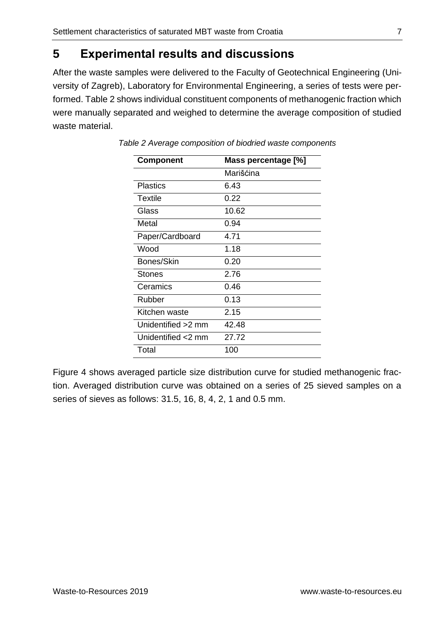# **5 Experimental results and discussions**

After the waste samples were delivered to the Faculty of Geotechnical Engineering (University of Zagreb), Laboratory for Environmental Engineering, a series of tests were performed. Table 2 shows individual constituent components of methanogenic fraction which were manually separated and weighed to determine the average composition of studied waste material.

| <b>Component</b>   | Mass percentage [%] |  |  |  |
|--------------------|---------------------|--|--|--|
|                    | Marišćina           |  |  |  |
| <b>Plastics</b>    | 6.43                |  |  |  |
| Textile            | 0.22                |  |  |  |
| Glass              | 10.62               |  |  |  |
| Metal              | 0.94                |  |  |  |
| Paper/Cardboard    | 4.71                |  |  |  |
| Wood               | 1.18                |  |  |  |
| Bones/Skin         | 0.20                |  |  |  |
| Stones             | 2.76                |  |  |  |
| Ceramics           | 0.46                |  |  |  |
| Rubber             | 0.13                |  |  |  |
| Kitchen waste      | 2.15                |  |  |  |
| Unidentified >2 mm | 42.48               |  |  |  |
| Unidentified <2 mm | 27.72               |  |  |  |
| Total              | 100                 |  |  |  |
|                    |                     |  |  |  |

*Table 2 Average composition of biodried waste components*

Figure 4 shows averaged particle size distribution curve for studied methanogenic fraction. Averaged distribution curve was obtained on a series of 25 sieved samples on a series of sieves as follows: 31.5, 16, 8, 4, 2, 1 and 0.5 mm.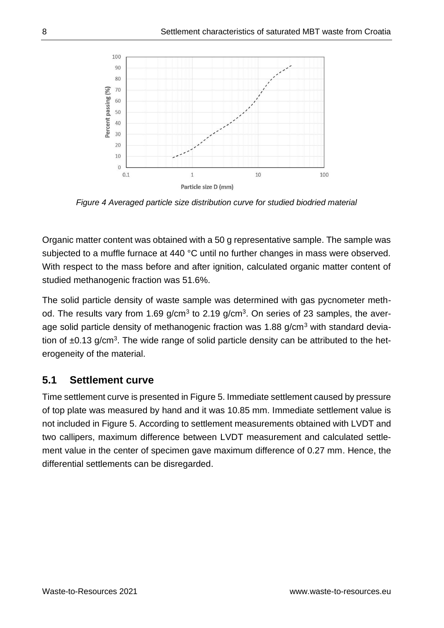

*Figure 4 Averaged particle size distribution curve for studied biodried material*

Organic matter content was obtained with a 50 g representative sample. The sample was subjected to a muffle furnace at 440 °C until no further changes in mass were observed. With respect to the mass before and after ignition, calculated organic matter content of studied methanogenic fraction was 51.6%.

The solid particle density of waste sample was determined with gas pycnometer method. The results vary from 1.69 g/cm<sup>3</sup> to 2.19 g/cm<sup>3</sup>. On series of 23 samples, the average solid particle density of methanogenic fraction was 1.88  $q/cm<sup>3</sup>$  with standard deviation of  $\pm 0.13$  g/cm<sup>3</sup>. The wide range of solid particle density can be attributed to the heterogeneity of the material.

## **5.1 Settlement curve**

Time settlement curve is presented in Figure 5. Immediate settlement caused by pressure of top plate was measured by hand and it was 10.85 mm. Immediate settlement value is not included in Figure 5. According to settlement measurements obtained with LVDT and two callipers, maximum difference between LVDT measurement and calculated settlement value in the center of specimen gave maximum difference of 0.27 mm. Hence, the differential settlements can be disregarded.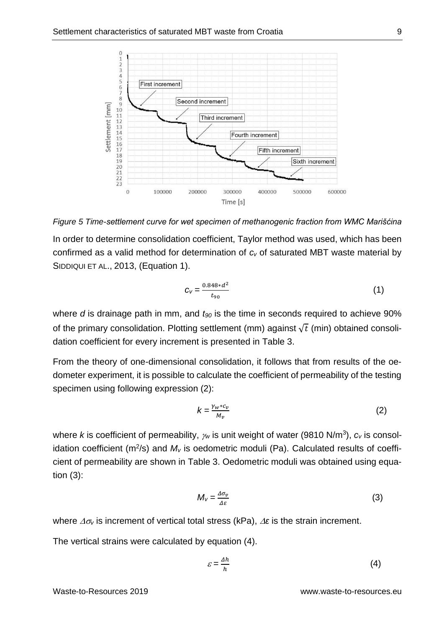

*Figure 5 Time-settlement curve for wet specimen of methanogenic fraction from WMC Marišćina*

In order to determine consolidation coefficient, Taylor method was used, which has been confirmed as a valid method for determination of *c<sup>v</sup>* of saturated MBT waste material by SIDDIQUI ET AL., 2013, (Equation 1).

$$
C_V = \frac{0.848 * d^2}{t_{90}}\tag{1}
$$

where *d* is drainage path in mm, and *t<sup>90</sup>* is the time in seconds required to achieve 90% of the primary consolidation. Plotting settlement (mm) against  $\sqrt{t}$  (min) obtained consolidation coefficient for every increment is presented in Table 3.

From the theory of one-dimensional consolidation, it follows that from results of the oedometer experiment, it is possible to calculate the coefficient of permeability of the testing specimen using following expression (2):

$$
k = \frac{\gamma_w * c_v}{M_v} \tag{2}
$$

where *k* is coefficient of permeability,  $\gamma_w$  is unit weight of water (9810 N/m<sup>3</sup>),  $c_v$  is consolidation coefficient (m<sup>2</sup>/s) and  $M<sub>v</sub>$  is oedometric moduli (Pa). Calculated results of coefficient of permeability are shown in Table 3. Oedometric moduli was obtained using equation (3):

$$
M_{V} = \frac{\Delta \sigma_{v}}{\Delta \varepsilon}
$$
 (3)

where  $\Delta \sigma_v$  is increment of vertical total stress (kPa),  $\Delta \varepsilon$  is the strain increment.

The vertical strains were calculated by equation (4).

$$
\varepsilon = \frac{\Delta h}{h} \tag{4}
$$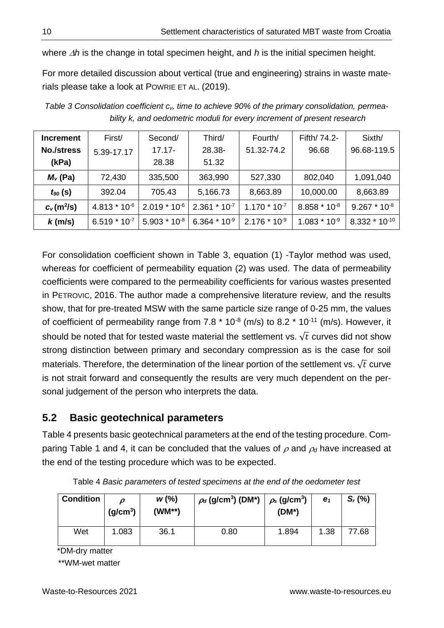where  $\Delta h$  is the change in total specimen height, and  $h$  is the initial specimen height.

For more detailed discussion about vertical (true and engineering) strains in waste materials please take a look at POWRIE ET AL. (2019).

| <b>Increment</b>  | First/            | Second/           | Third/                     | Fourth/           | Fifth/ 74.2-      | Sixth/             |
|-------------------|-------------------|-------------------|----------------------------|-------------------|-------------------|--------------------|
| <b>No./stress</b> | 5.39-17.17        | $17.17 -$         | 28.38-                     | 51.32-74.2        | 96.68             | 96.68-119.5        |
| (kPa)             |                   | 28.38             | 51.32                      |                   |                   |                    |
| $M_v$ (Pa)        | 72,430            | 335,500           | 363,990                    | 527,330           | 802,040           | 1,091,040          |
| $t_{90}$ (s)      | 392.04            | 705.43            | 5,166.73                   | 8,663.89          | 10,000.00         | 8,663.89           |
| $c_v(m^2/s)$      | $4.813 * 10^{6}$  | $2.019 * 10^{-6}$ | $2.361 * 10^{-7}$          | $1.170 * 107$     | $8.858 * 10^{-8}$ | $9.267 * 10^{-8}$  |
| $k$ (m/s)         | $6.519 * 10^{-7}$ | $5.903 * 10^{-8}$ | 6.364 $*$ 10 <sup>-9</sup> | $2.176 * 10^{-9}$ | $1.083 * 10-9$    | $8.332 * 10^{-10}$ |

*Table 3 Consolidation coefficient cv, time to achieve 90% of the primary consolidation, permeability k, and oedometric moduli for every increment of present research*

For consolidation coefficient shown in Table 3, equation (1) -Taylor method was used, whereas for coefficient of permeability equation (2) was used. The data of permeability coefficients were compared to the permeability coefficients for various wastes presented in PETROVIC, 2016. The author made a comprehensive literature review, and the results show, that for pre-treated MSW with the same particle size range of 0-25 mm, the values of coefficient of permeability range from 7.8  $*$  10 $*$  (m/s) to 8.2  $*$  10 $*$ 11 (m/s). However, it should be noted that for tested waste material the settlement vs.  $\sqrt{t}$  curves did not show strong distinction between primary and secondary compression as is the case for soil materials. Therefore, the determination of the linear portion of the settlement vs.  $\sqrt{t}$  curve is not strait forward and consequently the results are very much dependent on the personal judgement of the person who interprets the data.

### **5.2 Basic geotechnical parameters**

Table 4 presents basic geotechnical parameters at the end of the testing procedure. Comparing Table 1 and 4, it can be concluded that the values of  $\rho$  and  $\rho_d$  have increased at the end of the testing procedure which was to be expected.

| <b>Condition</b> | (g/cm <sup>3</sup> ) | W(%)<br>(WM**) | $\rho_d$ (g/cm <sup>3</sup> ) (DM*) | $\rho_{\rm s}$ (g/cm <sup>3</sup> )<br>$(DM^*)$ | e <sub>1</sub> | $S_r$ (%) |
|------------------|----------------------|----------------|-------------------------------------|-------------------------------------------------|----------------|-----------|
| Wet              | 1.083                | 36.1           | 0.80                                | 1.894                                           | 1.38           | 77.68     |

Table 4 *Basic parameters of tested specimens at the end of the oedometer test*

\*DM-dry matter

\*\*WM-wet matter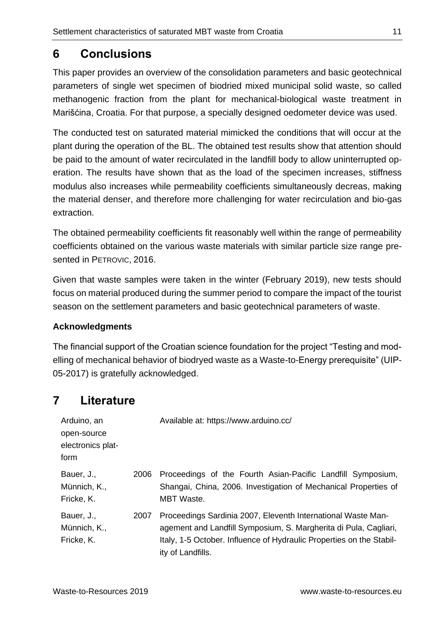## **6 Conclusions**

This paper provides an overview of the consolidation parameters and basic geotechnical parameters of single wet specimen of biodried mixed municipal solid waste, so called methanogenic fraction from the plant for mechanical-biological waste treatment in Marišćina, Croatia. For that purpose, a specially designed oedometer device was used.

The conducted test on saturated material mimicked the conditions that will occur at the plant during the operation of the BL. The obtained test results show that attention should be paid to the amount of water recirculated in the landfill body to allow uninterrupted operation. The results have shown that as the load of the specimen increases, stiffness modulus also increases while permeability coefficients simultaneously decreas, making the material denser, and therefore more challenging for water recirculation and bio-gas extraction.

The obtained permeability coefficients fit reasonably well within the range of permeability coefficients obtained on the various waste materials with similar particle size range presented in PETROVIC, 2016.

Given that waste samples were taken in the winter (February 2019), new tests should focus on material produced during the summer period to compare the impact of the tourist season on the settlement parameters and basic geotechnical parameters of waste.

### **Acknowledgments**

The financial support of the Croatian science foundation for the project "Testing and modelling of mechanical behavior of biodryed waste as a Waste-to-Energy prerequisite" (UIP-05-2017) is gratefully acknowledged.

# **7 Literature**

| Arduino, an<br>open-source<br>electronics plat-<br>form |      | Available at: https://www.arduino.cc/                                                                                                                                                                                         |
|---------------------------------------------------------|------|-------------------------------------------------------------------------------------------------------------------------------------------------------------------------------------------------------------------------------|
| Bauer, J.,<br>Münnich, K.,<br>Fricke, K.                | 2006 | Proceedings of the Fourth Asian-Pacific Landfill Symposium,<br>Shangai, China, 2006. Investigation of Mechanical Properties of<br><b>MBT</b> Waste.                                                                           |
| Bauer, J.,<br>Münnich, K.,<br>Fricke, K.                | 2007 | Proceedings Sardinia 2007, Eleventh International Waste Man-<br>agement and Landfill Symposium, S. Margherita di Pula, Cagliari,<br>Italy, 1-5 October. Influence of Hydraulic Properties on the Stabil-<br>ity of Landfills. |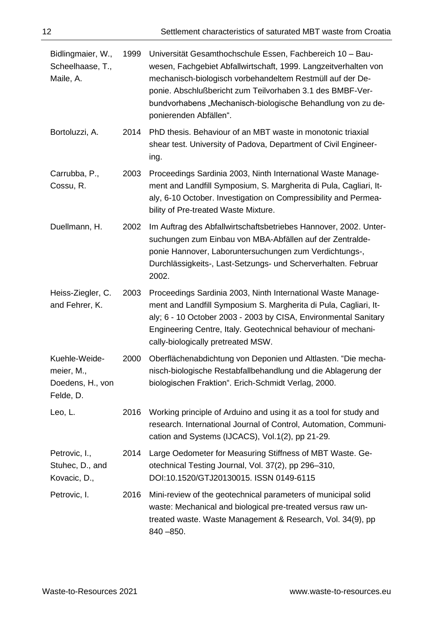| Bidlingmaier, W.,<br>Scheelhaase, T.,<br>Maile, A.           | 1999 | Universität Gesamthochschule Essen, Fachbereich 10 - Bau-<br>wesen, Fachgebiet Abfallwirtschaft, 1999. Langzeitverhalten von<br>mechanisch-biologisch vorbehandeltem Restmüll auf der De-<br>ponie. Abschlußbericht zum Teilvorhaben 3.1 des BMBF-Ver-<br>bundvorhabens "Mechanisch-biologische Behandlung von zu de-<br>ponierenden Abfällen". |  |  |
|--------------------------------------------------------------|------|-------------------------------------------------------------------------------------------------------------------------------------------------------------------------------------------------------------------------------------------------------------------------------------------------------------------------------------------------|--|--|
| Bortoluzzi, A.                                               | 2014 | PhD thesis. Behaviour of an MBT waste in monotonic triaxial<br>shear test. University of Padova, Department of Civil Engineer-<br>ing.                                                                                                                                                                                                          |  |  |
| Carrubba, P.,<br>Cossu, R.                                   | 2003 | Proceedings Sardinia 2003, Ninth International Waste Manage-<br>ment and Landfill Symposium, S. Margherita di Pula, Cagliari, It-<br>aly, 6-10 October. Investigation on Compressibility and Permea-<br>bility of Pre-treated Waste Mixture.                                                                                                    |  |  |
| Duellmann, H.                                                | 2002 | Im Auftrag des Abfallwirtschaftsbetriebes Hannover, 2002. Unter-<br>suchungen zum Einbau von MBA-Abfällen auf der Zentralde-<br>ponie Hannover, Laboruntersuchungen zum Verdichtungs-,<br>Durchlässigkeits-, Last-Setzungs- und Scherverhalten. Februar<br>2002.                                                                                |  |  |
| Heiss-Ziegler, C.<br>and Fehrer, K.                          | 2003 | Proceedings Sardinia 2003, Ninth International Waste Manage-<br>ment and Landfill Symposium S. Margherita di Pula, Cagliari, It-<br>aly; 6 - 10 October 2003 - 2003 by CISA, Environmental Sanitary<br>Engineering Centre, Italy. Geotechnical behaviour of mechani-<br>cally-biologically pretreated MSW.                                      |  |  |
| Kuehle-Weide-<br>meier, M.,<br>Doedens, H., von<br>Felde, D. | 2000 | Oberflächenabdichtung von Deponien und Altlasten. "Die mecha-<br>nisch-biologische Restabfallbehandlung und die Ablagerung der<br>biologischen Fraktion". Erich-Schmidt Verlag, 2000.                                                                                                                                                           |  |  |
| Leo, L.                                                      | 2016 | Working principle of Arduino and using it as a tool for study and<br>research. International Journal of Control, Automation, Communi-<br>cation and Systems (IJCACS), Vol.1(2), pp 21-29.                                                                                                                                                       |  |  |
| Petrovic, I.,<br>Stuhec, D., and<br>Kovacic, D.,             | 2014 | Large Oedometer for Measuring Stiffness of MBT Waste. Ge-<br>otechnical Testing Journal, Vol. 37(2), pp 296-310,<br>DOI:10.1520/GTJ20130015. ISSN 0149-6115                                                                                                                                                                                     |  |  |
| Petrovic, I.                                                 | 2016 | Mini-review of the geotechnical parameters of municipal solid<br>waste: Mechanical and biological pre-treated versus raw un-<br>treated waste. Waste Management & Research, Vol. 34(9), pp<br>$840 - 850.$                                                                                                                                      |  |  |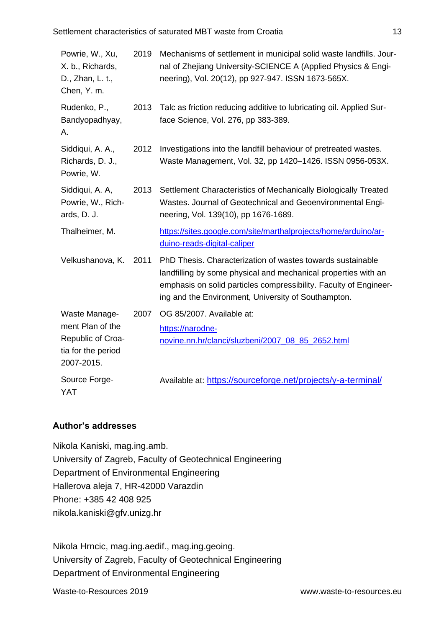| Powrie, W., Xu,<br>X. b., Richards,<br>D., Zhan, L. t.,<br>Chen, Y. m.    | 2019 | Mechanisms of settlement in municipal solid waste landfills. Jour-<br>nal of Zhejiang University-SCIENCE A (Applied Physics & Engi-<br>neering), Vol. 20(12), pp 927-947. ISSN 1673-565X.                                                                |
|---------------------------------------------------------------------------|------|----------------------------------------------------------------------------------------------------------------------------------------------------------------------------------------------------------------------------------------------------------|
| Rudenko, P.,<br>Bandyopadhyay,<br>Α.                                      | 2013 | Talc as friction reducing additive to lubricating oil. Applied Sur-<br>face Science, Vol. 276, pp 383-389.                                                                                                                                               |
| Siddiqui, A. A.,<br>Richards, D. J.,<br>Powrie, W.                        | 2012 | Investigations into the landfill behaviour of pretreated wastes.<br>Waste Management, Vol. 32, pp 1420-1426. ISSN 0956-053X.                                                                                                                             |
| Siddiqui, A. A,<br>Powrie, W., Rich-<br>ards, D. J.                       | 2013 | Settlement Characteristics of Mechanically Biologically Treated<br>Wastes. Journal of Geotechnical and Geoenvironmental Engi-<br>neering, Vol. 139(10), pp 1676-1689.                                                                                    |
| Thalheimer, M.                                                            |      | https://sites.google.com/site/marthalprojects/home/arduino/ar-<br>duino-reads-digital-caliper                                                                                                                                                            |
| Velkushanova, K.                                                          | 2011 | PhD Thesis. Characterization of wastes towards sustainable<br>landfilling by some physical and mechanical properties with an<br>emphasis on solid particles compressibility. Faculty of Engineer-<br>ing and the Environment, University of Southampton. |
| Waste Manage-                                                             | 2007 | OG 85/2007. Available at:                                                                                                                                                                                                                                |
| ment Plan of the<br>Republic of Croa-<br>tia for the period<br>2007-2015. |      | https://narodne-<br>novine.nn.hr/clanci/sluzbeni/2007_08_85_2652.html                                                                                                                                                                                    |
| Source Forge-<br><b>YAT</b>                                               |      | Available at: https://sourceforge.net/projects/y-a-terminal/                                                                                                                                                                                             |

#### **Author's addresses**

Nikola Kaniski, mag.ing.amb. University of Zagreb, Faculty of Geotechnical Engineering Department of Environmental Engineering Hallerova aleja 7, HR-42000 Varazdin Phone: +385 42 408 925 nikola.kaniski@gfv.unizg.hr

Nikola Hrncic, mag.ing.aedif., mag.ing.geoing. University of Zagreb, Faculty of Geotechnical Engineering Department of Environmental Engineering